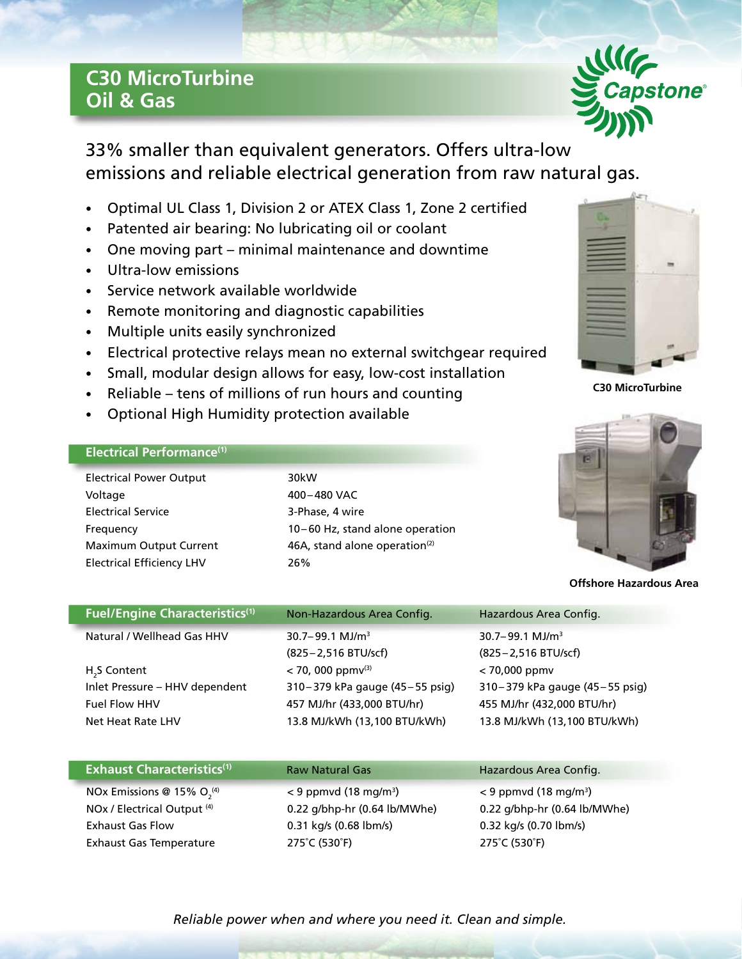## **C30 MicroTurbine Oil & Gas**



33% smaller than equivalent generators. Offers ultra-low emissions and reliable electrical generation from raw natural gas.

- Optimal UL Class 1, Division 2 or ATEX Class 1, Zone 2 certified
- Patented air bearing: No lubricating oil or coolant
- One moving part minimal maintenance and downtime
- Ultra-low emissions
- Service network available worldwide
- Remote monitoring and diagnostic capabilities
- Multiple units easily synchronized
- Electrical protective relays mean no external switchgear required
- Small, modular design allows for easy, low-cost installation
- Reliable tens of millions of run hours and counting
- Optional High Humidity protection available

## **Electrical Performance(1)**

| <b>Electrical Power Output</b>   | 30kW                                      |
|----------------------------------|-------------------------------------------|
| Voltage                          | 400-480 VAC                               |
| <b>Electrical Service</b>        | 3-Phase, 4 wire                           |
| Frequency                        | 10-60 Hz, stand alone operation           |
| <b>Maximum Output Current</b>    | 46A, stand alone operation <sup>(2)</sup> |
| <b>Electrical Efficiency LHV</b> | 26%                                       |



**C30 MicroTurbine**



**Offshore Hazardous Area**

| <b>Fuel/Engine Characteristics(1)</b>                                                                   | Non-Hazardous Area Config.                                                                                                | Hazardous Area Config.                                                                                          |
|---------------------------------------------------------------------------------------------------------|---------------------------------------------------------------------------------------------------------------------------|-----------------------------------------------------------------------------------------------------------------|
| Natural / Wellhead Gas HHV                                                                              | $30.7 - 99.1$ MJ/m <sup>3</sup><br>(825 – 2,516 BTU/scf)                                                                  | $30.7 - 99.1$ MJ/m <sup>3</sup><br>(825 - 2,516 BTU/scf)                                                        |
| H <sub>2</sub> S Content<br>Inlet Pressure - HHV dependent<br><b>Fuel Flow HHV</b><br>Net Heat Rate LHV | $<$ 70, 000 ppm $v^{(3)}$<br>310-379 kPa gauge (45-55 psig)<br>457 MJ/hr (433,000 BTU/hr)<br>13.8 MJ/kWh (13,100 BTU/kWh) | $< 70,000$ ppmv<br>310-379 kPa gauge (45-55 psig)<br>455 MJ/hr (432,000 BTU/hr)<br>13.8 MJ/kWh (13,100 BTU/kWh) |

| <b>Exhaust Characteristics(1)</b> | <b>Raw Natural Gas</b>              | Hazardous Area Config.              |
|-----------------------------------|-------------------------------------|-------------------------------------|
| NOx Emissions @ 15% $O_2^{(4)}$   | $<$ 9 ppmvd (18 mg/m <sup>3</sup> ) | $<$ 9 ppmvd (18 mg/m <sup>3</sup> ) |
| NOx / Electrical Output (4)       | 0.22 g/bhp-hr (0.64 lb/MWhe)        | 0.22 g/bhp-hr (0.64 lb/MWhe)        |
| <b>Exhaust Gas Flow</b>           | 0.31 kg/s (0.68 lbm/s)              | 0.32 kg/s (0.70 lbm/s)              |
| <b>Exhaust Gas Temperature</b>    | 275°C (530°F)                       | 275°C (530°F)                       |